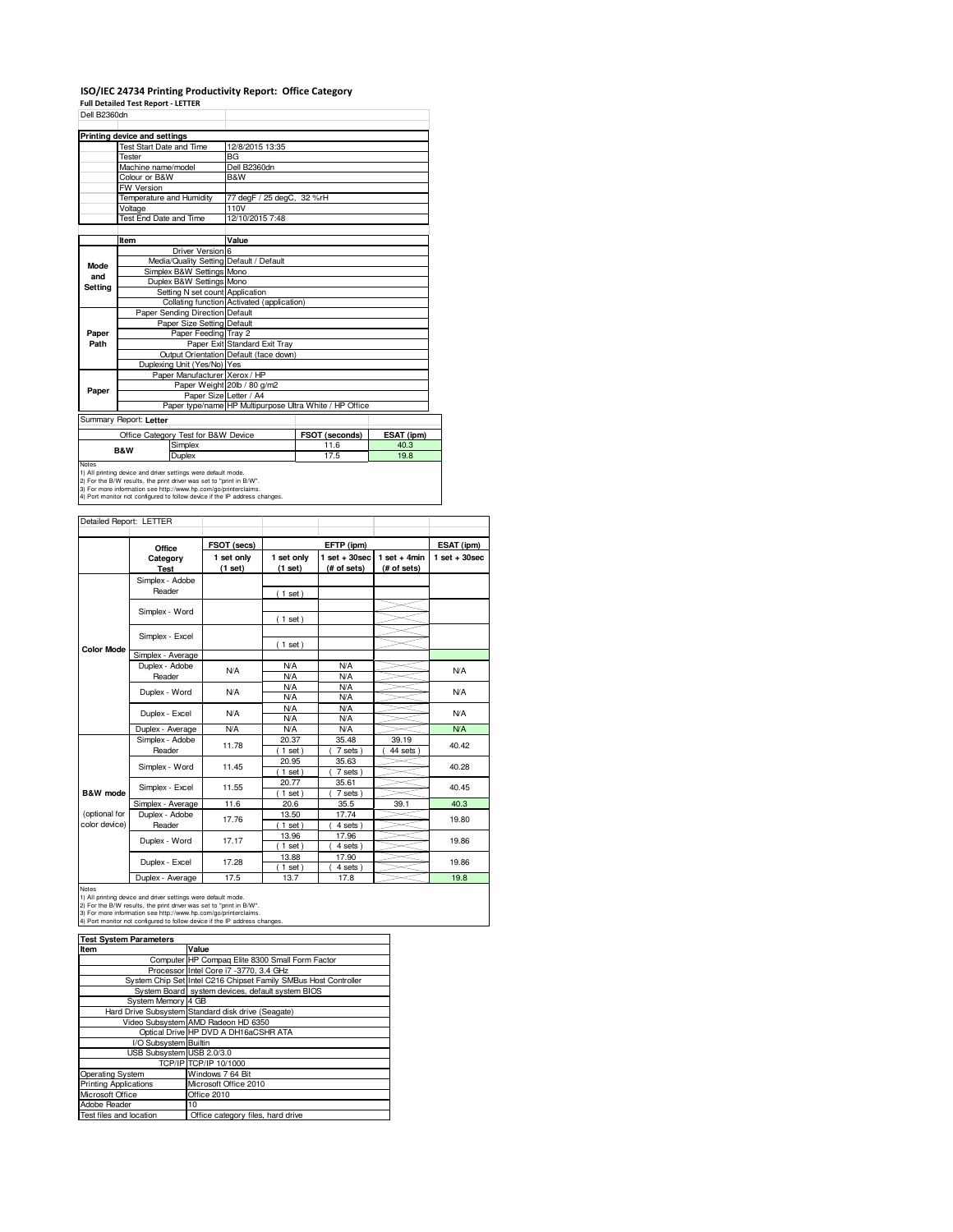## **ISO/IEC 24734 Printing Productivity Report: Office Category**

**Full Detailed Test Report - LETTER**

| Dell B2360dn |                                                                                                                                    |                                            |                                                         |            |
|--------------|------------------------------------------------------------------------------------------------------------------------------------|--------------------------------------------|---------------------------------------------------------|------------|
|              |                                                                                                                                    |                                            |                                                         |            |
|              | Printing device and settings                                                                                                       |                                            |                                                         |            |
|              | <b>Test Start Date and Time</b>                                                                                                    | 12/8/2015 13:35                            |                                                         |            |
|              | Tester                                                                                                                             | <b>BG</b>                                  |                                                         |            |
|              | Machine name/model                                                                                                                 | Dell B2360dn                               |                                                         |            |
|              | Colour or B&W                                                                                                                      | B&W                                        |                                                         |            |
|              | <b>FW Version</b>                                                                                                                  |                                            |                                                         |            |
|              | Temperature and Humidity                                                                                                           | 77 degF / 25 degC, 32 %rH                  |                                                         |            |
|              | Voltage                                                                                                                            | 110V                                       |                                                         |            |
|              | Test End Date and Time                                                                                                             | 12/10/2015 7:48                            |                                                         |            |
|              |                                                                                                                                    |                                            |                                                         |            |
|              | Item                                                                                                                               | Value                                      |                                                         |            |
|              | Driver Version 6                                                                                                                   |                                            |                                                         |            |
| Mode         | Media/Quality Setting Default / Default                                                                                            |                                            |                                                         |            |
| and          | Simplex B&W Settings Mono                                                                                                          |                                            |                                                         |            |
| Setting      | Duplex B&W Settings Mono                                                                                                           |                                            |                                                         |            |
|              | Setting N set count Application                                                                                                    |                                            |                                                         |            |
|              |                                                                                                                                    | Collating function Activated (application) |                                                         |            |
|              | Paper Sending Direction Default                                                                                                    |                                            |                                                         |            |
|              | Paper Size Setting Default                                                                                                         |                                            |                                                         |            |
| Paper        | Paper Feeding Tray 2                                                                                                               |                                            |                                                         |            |
| Path         |                                                                                                                                    | Paper Exit Standard Exit Tray              |                                                         |            |
|              |                                                                                                                                    | Output Orientation Default (face down)     |                                                         |            |
|              | Duplexing Unit (Yes/No) Yes                                                                                                        |                                            |                                                         |            |
|              | Paper Manufacturer Xerox / HP                                                                                                      |                                            |                                                         |            |
| Paper        |                                                                                                                                    | Paper Weight 20lb / 80 g/m2                |                                                         |            |
|              | Paper Size Letter / A4                                                                                                             |                                            |                                                         |            |
|              |                                                                                                                                    |                                            | Paper type/name HP Multipurpose Ultra White / HP Office |            |
|              | Summary Report: Letter                                                                                                             |                                            |                                                         |            |
|              | Office Category Test for B&W Device                                                                                                |                                            | FSOT (seconds)                                          | ESAT (ipm) |
|              | Simplex                                                                                                                            |                                            | 11.6                                                    | 40.3       |
|              | <b>B&amp;W</b><br>Duplex                                                                                                           |                                            | 17.5                                                    | 19.8       |
| <b>Notes</b> |                                                                                                                                    |                                            |                                                         |            |
|              | 1) All printing device and driver settings were default mode.<br>2) For the R/W results the print driver was set to "print in R/W" |                                            |                                                         |            |

2) For the B/W results, the print driver was set to "print in B/W".<br>3) For more information see http://www.hp.com/go/printerclaims.<br>4) Port monitor not configured to follow device if the IP address changes.

| Detailed Report: LETTER        |                            |                                      |                          |                                                |                               |                                |
|--------------------------------|----------------------------|--------------------------------------|--------------------------|------------------------------------------------|-------------------------------|--------------------------------|
|                                |                            |                                      |                          |                                                |                               |                                |
|                                | Office<br>Category<br>Test | FSOT (secs)<br>1 set only<br>(1 set) | 1 set only<br>(1 set)    | EFTP (ipm)<br>$1$ set $+30$ sec<br>(# of sets) | $1$ set + 4min<br>(# of sets) | ESAT (ipm)<br>$1 set + 30 sec$ |
|                                | Simplex - Adobe<br>Reader  |                                      | (1 set)                  |                                                |                               |                                |
|                                | Simplex - Word             |                                      | $1$ set)                 |                                                |                               |                                |
|                                | Simplex - Excel            |                                      | $1$ set)                 |                                                |                               |                                |
| <b>Color Mode</b>              | Simplex - Average          |                                      |                          |                                                |                               |                                |
|                                | Duplex - Adobe<br>Reader   | <b>N/A</b>                           | N/A<br>N/A               | N/A<br><b>N/A</b>                              |                               | N/A                            |
|                                | Duplex - Word              | <b>N/A</b>                           | <b>N/A</b><br>N/A        | N/A<br><b>N/A</b>                              |                               | N/A                            |
|                                | Duplex - Excel             | <b>N/A</b>                           | <b>N/A</b><br><b>N/A</b> | <b>N/A</b><br><b>N/A</b>                       |                               | N/A                            |
|                                | Duplex - Average           | N/A                                  | N/A                      | N/A                                            |                               | N/A                            |
|                                | Simplex - Adobe<br>Reader  | 11.78                                | 20.37<br>$1$ set)        | 35.48<br>7 sets)                               | 39.19<br>44 sets              | 40.42                          |
|                                | Simplex - Word             | 11.45                                | 20.95<br>$1$ set)        | 35.63<br>7 sets)                               |                               | 40.28                          |
| <b>B&amp;W</b> mode            | Simplex - Excel            | 11.55                                | 20.77<br>$1$ set)        | 35.61<br>7 sets)                               |                               | 40.45                          |
|                                | Simplex - Average          | 11.6                                 | 20.6                     | 35.5                                           | 39.1                          | 40.3                           |
| (optional for<br>color device) | Duplex - Adobe<br>Reader   | 17.76                                | 13.50<br>$1$ set)        | 17.74<br>4 sets)                               |                               | 19.80                          |
|                                | Duplex - Word              | 17.17                                | 13.96<br>$1$ set)        | 17.96<br>4 sets)                               |                               | 19.86                          |
|                                | Duplex - Excel             | 17.28                                | 13.88<br>$1$ set)        | 17.90<br>4 sets)                               |                               | 19.86                          |
|                                | Dualett Atasana            | $-7c$                                | 107                      | 170                                            |                               | 100                            |

Notes<br>
19.8<br>
1) All printing device and driver settings were default mode.<br>
2) For the BAV results, the print driver was set to "print in BAV".<br>
2) For moe information see http://www.hp.com/go/printerclaims.<br>
3) For moe

| <b>Test System Parameters</b> |                                                                 |  |  |  |
|-------------------------------|-----------------------------------------------------------------|--|--|--|
| Item                          | Value                                                           |  |  |  |
|                               | Computer HP Compag Elite 8300 Small Form Factor                 |  |  |  |
|                               | Processor Intel Core i7 -3770, 3.4 GHz                          |  |  |  |
|                               | System Chip Set Intel C216 Chipset Family SMBus Host Controller |  |  |  |
|                               | System Board system devices, default system BIOS                |  |  |  |
| System Memory 4 GB            |                                                                 |  |  |  |
|                               | Hard Drive Subsystem Standard disk drive (Seagate)              |  |  |  |
|                               | Video Subsystem AMD Radeon HD 6350                              |  |  |  |
|                               | Optical Drive HP DVD A DH16aCSHR ATA                            |  |  |  |
| I/O Subsystem Builtin         |                                                                 |  |  |  |
| USB Subsystem USB 2.0/3.0     |                                                                 |  |  |  |
|                               | TCP/IP TCP/IP 10/1000                                           |  |  |  |
| Operating System              | Windows 7 64 Bit                                                |  |  |  |
| <b>Printing Applications</b>  | Microsoft Office 2010                                           |  |  |  |
| Microsoft Office              | Office 2010                                                     |  |  |  |
| Adobe Reader                  | 10                                                              |  |  |  |
| Test files and location       | Office category files, hard drive                               |  |  |  |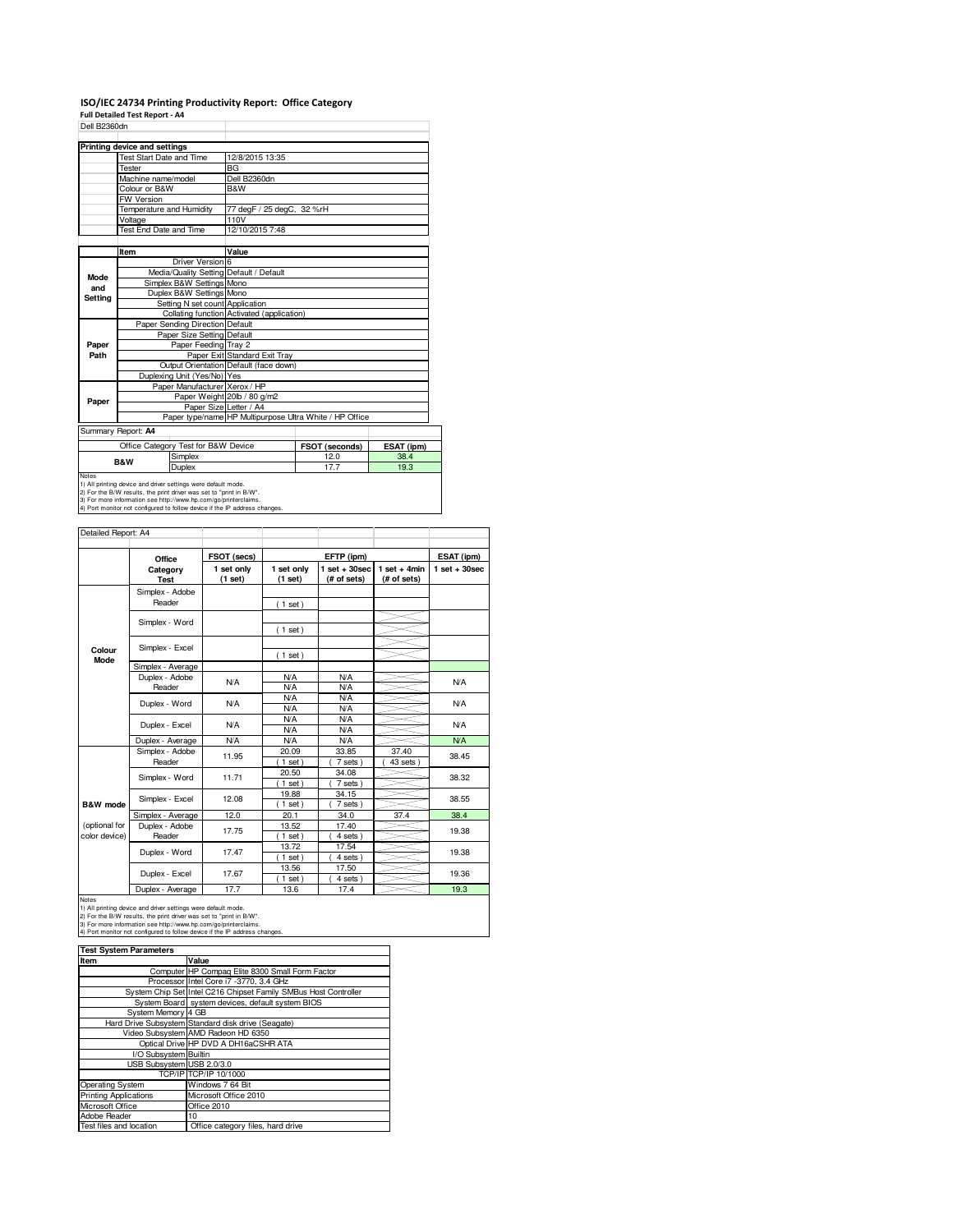## **ISO/IEC 24734 Printing Productivity Report: Office Category Full Detailed Test Report - A4**

| Dell B2360dn |                                         |                                            |                                                         |  |
|--------------|-----------------------------------------|--------------------------------------------|---------------------------------------------------------|--|
|              |                                         |                                            |                                                         |  |
|              | Printing device and settings            |                                            |                                                         |  |
|              | Test Start Date and Time                | 12/8/2015 13:35                            |                                                         |  |
|              | Tester                                  | <b>BG</b>                                  |                                                         |  |
|              | Machine name/model                      | Dell B2360dn                               |                                                         |  |
|              | Colour or B&W                           | B&W                                        |                                                         |  |
|              | <b>FW Version</b>                       |                                            |                                                         |  |
|              | Temperature and Humidity                | 77 degF / 25 degC, 32 %rH                  |                                                         |  |
|              | Voltage                                 | 110V                                       |                                                         |  |
|              | <b>Test End Date and Time</b>           | 12/10/2015 7:48                            |                                                         |  |
|              |                                         |                                            |                                                         |  |
|              | Item                                    | Value                                      |                                                         |  |
|              | Driver Version 6                        |                                            |                                                         |  |
| Mode         | Media/Quality Setting Default / Default |                                            |                                                         |  |
| and          | Simplex B&W Settings Mono               |                                            |                                                         |  |
| Setting      | Duplex B&W Settings Mono                |                                            |                                                         |  |
|              | Setting N set count Application         |                                            |                                                         |  |
|              |                                         | Collating function Activated (application) |                                                         |  |
|              | Paper Sending Direction Default         |                                            |                                                         |  |
|              | Paper Size Setting Default              |                                            |                                                         |  |
| Paper        | Paper Feeding Tray 2                    |                                            |                                                         |  |
| Path         |                                         | Paper Exit Standard Exit Tray              |                                                         |  |
|              |                                         | Output Orientation Default (face down)     |                                                         |  |
|              | Duplexing Unit (Yes/No) Yes             |                                            |                                                         |  |
|              | Paper Manufacturer Xerox / HP           |                                            |                                                         |  |
| Paper        |                                         | Paper Weight 20lb / 80 g/m2                |                                                         |  |
|              | Paper Size Letter / A4                  |                                            |                                                         |  |
|              |                                         |                                            | Paper type/name HP Multipurpose Ultra White / HP Office |  |
|              | Summary Report: A4                      |                                            |                                                         |  |
|              |                                         |                                            |                                                         |  |

**FSOT (seconds)** ESAT (ip<br>
12.0 38.4<br>
17.7 19.3 Simplex<br>Duplex Notes<br>
Notes<br>
19.3 (a) printing device and driver setting were default mode.<br>
2) For the BAW results, the print driver was set to "print in BAW".<br>
2) For the BAW results, the print driver was set to "print in BAW".<br>
4) Por Test for B&W **B&W**

| Detailed Report: A4            |                           |                           |                       |                                |                               |                 |
|--------------------------------|---------------------------|---------------------------|-----------------------|--------------------------------|-------------------------------|-----------------|
|                                | Office                    | FSOT (secs)<br>EFTP (ipm) |                       |                                | ESAT (ipm)                    |                 |
|                                | Category<br><b>Test</b>   | 1 set only<br>(1 set)     | 1 set only<br>(1 set) | $1$ set + 30sec<br>(# of sets) | $1$ set + 4min<br>(# of sets) | $1$ set + 30sec |
|                                | Simplex - Adobe<br>Reader |                           | (1 set)               |                                |                               |                 |
|                                | Simplex - Word            |                           |                       |                                |                               |                 |
| Colour                         | Simplex - Excel           |                           | (1 set)               |                                |                               |                 |
| Mode                           | Simplex - Average         |                           | (1 set)               |                                |                               |                 |
|                                | Duplex - Adobe<br>Reader  | N/A                       | N/A<br>N/A            | N/A<br>N/A                     |                               | N/A             |
|                                | Duplex - Word             | <b>N/A</b>                | N/A<br>N/A            | N/A<br>N/A                     |                               | N/A             |
|                                | Duplex - Excel            | <b>N/A</b>                | N/A<br>N/A            | <b>N/A</b><br>N/A              |                               | N/A             |
|                                | Duplex - Average          | <b>N/A</b>                | N/A                   | N/A                            |                               | <b>N/A</b>      |
|                                | Simplex - Adobe<br>Reader | 11.95                     | 20.09<br>$1$ set)     | 33.85<br>7 sets                | 37.40<br>43 sets              | 38.45           |
|                                | Simplex - Word            | 11.71                     | 20.50<br>$1$ set)     | 34.08<br>7 sets)               |                               | 38.32           |
| <b>B&amp;W</b> mode            | Simplex - Excel           | 12.08                     | 19.88<br>$1$ set)     | 34.15<br>7 sets)               |                               | 38.55           |
|                                | Simplex - Average         | 12.0                      | 20.1                  | 34.0                           | 37.4                          | 38.4            |
| (optional for<br>color device) | Duplex - Adobe<br>Reader  | 17.75                     | 13.52<br>$1$ set)     | 17.40<br>4 sets                |                               | 19.38           |
|                                | Duplex - Word             | 17.47                     | 13.72<br>$1$ set)     | 17.54<br>4 sets)               |                               | 19.38           |
|                                | Duplex - Excel            | 17.67                     | 13.56<br>$1$ set)     | 17.50<br>4 sets                |                               | 19.36           |
|                                | $\overline{\phantom{0}}$  | $\sim -1$                 | .                     | $\sim$                         |                               | $\sim$          |

Duplex - Average 17.7 13.6 17.4 19.3<br>
19.3<br>
1) All printing device and driver settings were default mode.<br>
2) For the BAW results, the print driver was set to "print in BAW".<br>
3) For more information see http://www.hp.com

| <b>Test System Parameters</b> |                                                                 |  |  |  |
|-------------------------------|-----------------------------------------------------------------|--|--|--|
| Item                          | Value                                                           |  |  |  |
|                               | Computer HP Compag Elite 8300 Small Form Factor                 |  |  |  |
|                               | Processor Intel Core i7 -3770, 3.4 GHz                          |  |  |  |
|                               | System Chip Set Intel C216 Chipset Family SMBus Host Controller |  |  |  |
|                               | System Board system devices, default system BIOS                |  |  |  |
| System Memory 4 GB            |                                                                 |  |  |  |
|                               | Hard Drive Subsystem Standard disk drive (Seagate)              |  |  |  |
|                               | Video Subsystem AMD Radeon HD 6350                              |  |  |  |
|                               | Optical Drive HP DVD A DH16aCSHR ATA                            |  |  |  |
| I/O Subsystem Builtin         |                                                                 |  |  |  |
| USB Subsystem USB 2.0/3.0     |                                                                 |  |  |  |
|                               | TCP/IP TCP/IP 10/1000                                           |  |  |  |
| <b>Operating System</b>       | Windows 7 64 Bit                                                |  |  |  |
| <b>Printing Applications</b>  | Microsoft Office 2010                                           |  |  |  |
| Microsoft Office              | Office 2010                                                     |  |  |  |
| Adobe Reader                  | 10                                                              |  |  |  |
| Test files and location       | Office category files, hard drive                               |  |  |  |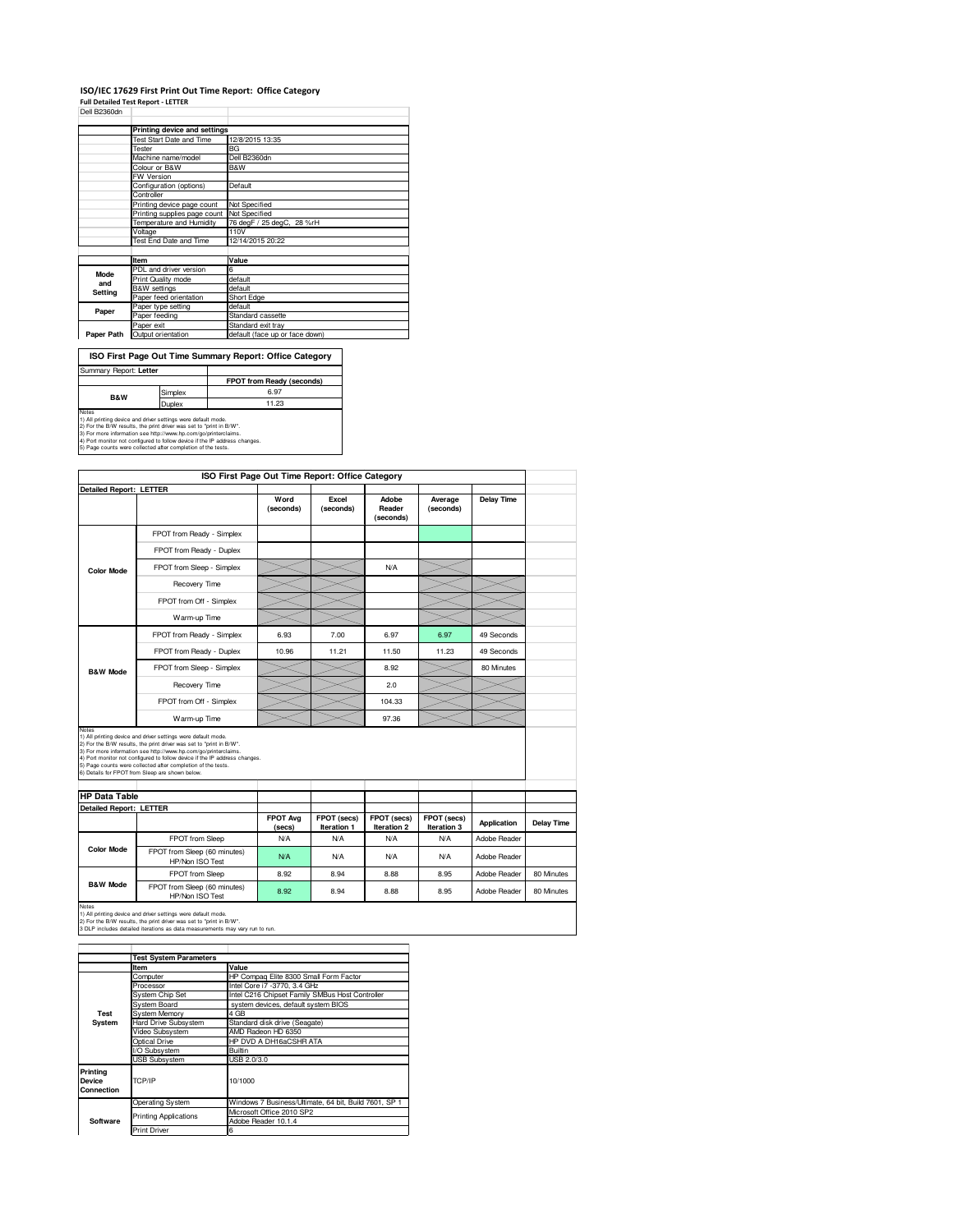## **ISO/IEC 17629 First Print Out Time Report: Office Category**

**Full Detailed Test Report - LETTER** Dell B2360dn

|             | Printing device and settings               |                                |  |
|-------------|--------------------------------------------|--------------------------------|--|
|             | Test Start Date and Time                   | 12/8/2015 13:35                |  |
|             | Tester                                     | BG                             |  |
|             | Machine name/model                         | Dell B2360dn                   |  |
|             | Colour or B&W                              | B&W                            |  |
|             | <b>FW Version</b>                          |                                |  |
|             | Configuration (options)                    | Default                        |  |
|             | Controller                                 |                                |  |
|             | Printing device page count                 | Not Specified                  |  |
|             | Printing supplies page count Not Specified |                                |  |
|             | Temperature and Humidity                   | 76 degF / 25 degC, 28 %rH      |  |
|             | Voltage                                    | 110V                           |  |
|             | Test End Date and Time                     | 12/14/2015 20:22               |  |
|             |                                            |                                |  |
|             | Item                                       | Value                          |  |
| <b>Mode</b> | PDL and driver version                     | 6                              |  |
| and         | Print Quality mode                         | default                        |  |
| Setting     | <b>B&amp;W</b> settings                    | default                        |  |
|             | Paper feed orientation                     | Short Edge                     |  |
| Paper       | Paper type setting                         | default                        |  |
|             | Paper feeding                              | Standard cassette              |  |
|             | Paper exit                                 | Standard exit tray             |  |
| Paper Path  | Output orientation                         | default (face up or face down) |  |

| ISO First Page Out Time Summary Report: Office Category                                                                                       |               |                                  |  |  |
|-----------------------------------------------------------------------------------------------------------------------------------------------|---------------|----------------------------------|--|--|
| Summary Report: Letter                                                                                                                        |               |                                  |  |  |
|                                                                                                                                               |               | <b>FPOT from Ready (seconds)</b> |  |  |
| <b>B&amp;W</b>                                                                                                                                | Simplex       | 6.97                             |  |  |
|                                                                                                                                               | <b>Duplex</b> | 11.23                            |  |  |
| Notes<br>1) All printing device and driver settings were default mode.<br>2) For the B/W results, the print driver was set to "print in B/W". |               |                                  |  |  |

2) For the B/W results, the print driver was set to "print in B/W".<br>3) For more information see http://www.hp.com/go/printerclaims.<br>4) Port monitor not configured to follow device if the IP address changes.<br>5) Page counts

| <b>Detailed Report: LETTER</b><br>Word<br>Excel<br>Average<br>Adobe<br>Reader<br>(seconds)<br>(seconds)<br>(seconds)<br>(seconds)                                                                                                                                                                                                                                                                                 | <b>Delay Time</b> |                   |
|-------------------------------------------------------------------------------------------------------------------------------------------------------------------------------------------------------------------------------------------------------------------------------------------------------------------------------------------------------------------------------------------------------------------|-------------------|-------------------|
|                                                                                                                                                                                                                                                                                                                                                                                                                   |                   |                   |
|                                                                                                                                                                                                                                                                                                                                                                                                                   |                   |                   |
| FPOT from Ready - Simplex                                                                                                                                                                                                                                                                                                                                                                                         |                   |                   |
| FPOT from Ready - Duplex                                                                                                                                                                                                                                                                                                                                                                                          |                   |                   |
| FPOT from Sleep - Simplex<br>N/A<br><b>Color Mode</b>                                                                                                                                                                                                                                                                                                                                                             |                   |                   |
| Recovery Time                                                                                                                                                                                                                                                                                                                                                                                                     |                   |                   |
| FPOT from Off - Simplex                                                                                                                                                                                                                                                                                                                                                                                           |                   |                   |
| Warm-up Time                                                                                                                                                                                                                                                                                                                                                                                                      |                   |                   |
| 7.00<br>6.97<br>FPOT from Ready - Simplex<br>6.93<br>6.97                                                                                                                                                                                                                                                                                                                                                         | 49 Seconds        |                   |
| 10.96<br>11.21<br>11.23<br>FPOT from Ready - Duplex<br>11.50                                                                                                                                                                                                                                                                                                                                                      | 49 Seconds        |                   |
| FPOT from Sleep - Simplex<br>8.92<br><b>B&amp;W Mode</b>                                                                                                                                                                                                                                                                                                                                                          | 80 Minutes        |                   |
| 2.0<br>Recovery Time                                                                                                                                                                                                                                                                                                                                                                                              |                   |                   |
| FPOT from Off - Simplex<br>104.33                                                                                                                                                                                                                                                                                                                                                                                 |                   |                   |
| Warm-up Time<br>97.36                                                                                                                                                                                                                                                                                                                                                                                             |                   |                   |
| Notes<br>1) All printing device and driver settings were default mode.<br>2) For the B/W results, the print driver was set to "print in B/W".<br>3) For more information see http://www.hp.com/go/printerclaims.<br>4) Port monitor not configured to follow device if the IP address changes.<br>5) Page counts were collected after completion of the tests.<br>6) Details for FPOT from Sleep are shown below. |                   |                   |
| <b>HP</b> Data Table                                                                                                                                                                                                                                                                                                                                                                                              |                   |                   |
| <b>Detailed Report: LETTER</b><br><b>FPOT Ava</b><br>FPOT (secs)<br>FPOT (secs)<br>FPOT (secs)<br>Iteration 1<br>Iteration 2<br>Iteration 3<br>(secs)                                                                                                                                                                                                                                                             | Application       | <b>Delay Time</b> |
| FPOT from Sleep<br>N/A<br>N/A<br>N/A<br><b>N/A</b>                                                                                                                                                                                                                                                                                                                                                                | Adobe Reader      |                   |
| <b>Color Mode</b><br>FPOT from Sleep (60 minutes)<br>N/A<br>N/A<br>N/A<br><b>N/A</b><br>HP/Non ISO Test                                                                                                                                                                                                                                                                                                           | Adobe Reader      |                   |
|                                                                                                                                                                                                                                                                                                                                                                                                                   | Adobe Reader      | 80 Minutes        |
| FPOT from Sleep<br>8.92<br>8.94<br>8.88<br>8.95                                                                                                                                                                                                                                                                                                                                                                   |                   |                   |

Notes<br>1) All printing device and driver settings were default mode.<br>2) For the B/W results, the print driver was set to "print in B/W".<br>3 DLP includes detailed iterations as data measurements may vary run to run.

|                                         | <b>Test System Parameters</b> |                                                       |
|-----------------------------------------|-------------------------------|-------------------------------------------------------|
|                                         | Item                          | Value                                                 |
|                                         | Computer                      | HP Compag Elite 8300 Small Form Factor                |
|                                         | Processor                     | Intel Core i7 -3770, 3.4 GHz                          |
|                                         | <b>System Chip Set</b>        | Intel C216 Chipset Family SMBus Host Controller       |
|                                         | System Board                  | system devices, default system BIOS                   |
| Test                                    | System Memory                 | 4 GB                                                  |
| System                                  | <b>Hard Drive Subsystem</b>   | Standard disk drive (Seagate)                         |
|                                         | Video Subsystem               | AMD Radeon HD 6350                                    |
|                                         | Optical Drive                 | HP DVD A DH16aCSHR ATA                                |
|                                         | I/O Subsystem                 | <b>Builtin</b>                                        |
|                                         | <b>USB Subsystem</b>          | USB 2.0/3.0                                           |
| Printing<br><b>Device</b><br>Connection | TCP/IP                        | 10/1000                                               |
|                                         | <b>Operating System</b>       | Windows 7 Business/Ultimate, 64 bit, Build 7601, SP 1 |
|                                         |                               | Microsoft Office 2010 SP2                             |
| Software                                | <b>Printing Applications</b>  | Adobe Reader 10.1.4                                   |
|                                         | <b>Print Driver</b>           | 6                                                     |